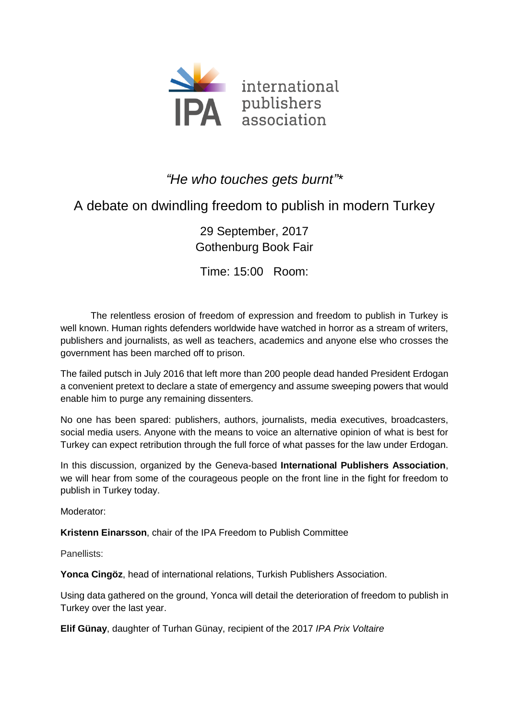

## *"He who touches gets burnt"\**

## A debate on dwindling freedom to publish in modern Turkey

29 September, 2017 Gothenburg Book Fair

Time: 15:00 Room:

The relentless erosion of freedom of expression and freedom to publish in Turkey is well known. Human rights defenders worldwide have watched in horror as a stream of writers, publishers and journalists, as well as teachers, academics and anyone else who crosses the government has been marched off to prison.

The failed putsch in July 2016 that left more than 200 people dead handed President Erdogan a convenient pretext to declare a state of emergency and assume sweeping powers that would enable him to purge any remaining dissenters.

No one has been spared: publishers, authors, journalists, media executives, broadcasters, social media users. Anyone with the means to voice an alternative opinion of what is best for Turkey can expect retribution through the full force of what passes for the law under Erdogan.

In this discussion, organized by the Geneva-based **International Publishers Association**, we will hear from some of the courageous people on the front line in the fight for freedom to publish in Turkey today.

Moderator:

**Kristenn Einarsson**, chair of the IPA Freedom to Publish Committee

Panellists:

**Yonca Cingöz**, head of international relations, Turkish Publishers Association.

Using data gathered on the ground, Yonca will detail the deterioration of freedom to publish in Turkey over the last year.

**Elif Günay**, daughter of Turhan Günay, recipient of the 2017 *IPA Prix Voltaire*